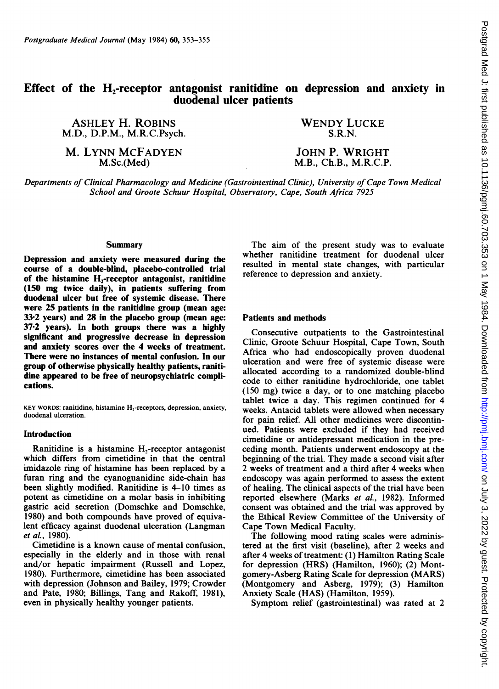# Effect of the  $H_2$ -receptor antagonist ranitidine on depression and anxiety in duodenal ulcer patients

ASHLEY H. ROBINS M.D., D.P.M., M.R.C.Psych.

M. LYNN MCFADYEN M.Sc.(Med)

WENDY LUCKE S.R.N.

# JOHN P. WRIGHT M.B., Ch.B., M.R.C.P.

Departments of Clinical Pharmacology and Medicine (Gastrointestinal Clinic), University of Cape Town Medical School and Groote Schuur Hospital, Observatory, Cape, South Africa 7925

### Summary

Depression and anxiety were measured during the course of a double-blind, placebo-controlled trial of the histamine  $H_2$ -receptor antagonist, ranitidine (150 mg twice daily), in patients suffering from duodenal ulcer but free of systemic disease. There were 25 patients in the ranitidine group (mean age: 33-2 years) and 28 in the placebo group (mean age: 37-2 years). In both groups there was a highly significant and progressive decrease in depression and anxiety scores over the 4 weeks of treatment. There were no instances of mental confusion. In our group of otherwise physically healthy patients, ranitidine appeared to be free of neuropsychiatric complications.

KEY WORDS: ranitidine, histamine  $H_2$ -receptors, depression, anxiety, duodenal ulceration.

#### Introduction

Ranitidine is a histamine  $H_2$ -receptor antagonist which differs from cimetidine in that the central imidazole ring of histamine has been replaced by a furan ring and the cyanoguanidine side-chain has been slightly modified. Ranitidine is 4-10 times as potent as cimetidine on a molar basis in inhibiting gastric acid secretion (Domschke and Domschke, 1980) and both compounds have proved of equivalent efficacy against duodenal ulceration (Langman et al., 1980).

Cimetidine is a known cause of mental confusion, especially in the elderly and in those with renal and/or hepatic impairment (Russell and Lopez, 1980). Furthermore, cimetidine has been associated with depression (Johnson and Bailey, 1979; Crowder and Pate, 1980; Billings, Tang and Rakoff, 1981), even in physically healthy younger patients.

The aim of the present study was to evaluate whether ranitidine treatment for duodenal ulcer resulted in mental state changes, with particular reference to depression and anxiety.

## Patients and methods

Consecutive outpatients to the Gastrointestinal Clinic, Groote Schuur Hospital, Cape Town, South Africa who had endoscopically proven duodenal ulceration and were free of systemic disease were allocated according to a randomized double-blind code to either ranitidine hydrochloride, one tablet (150 mg) twice a day, or to one matching placebo tablet twice a day. This regimen continued for 4 weeks. Antacid tablets were allowed when necessary for pain relief. All other medicines were discontinued. Patients were excluded if they had received cimetidine or antidepressant medication in the preceding month. Patients underwent endoscopy at the beginning of the trial. They made a second visit after 2 weeks of treatment and a third after 4 weeks when endoscopy was again performed to assess the extent of healing. The clinical aspects of the trial have been reported elsewhere (Marks et al., 1982). Informed consent was obtained and the trial was approved by the Ethical Review Committee of the University of Cape Town Medical Faculty.

The following mood rating scales were administered at the first visit (baseline), after 2 weeks and after 4 weeks of treatment: (1) Hamilton Rating Scale for depression (HRS) (Hamilton, 1960); (2) Montgomery-Asberg Rating Scale for depression (MARS) (Montgomery and Asberg, 1979); (3) Hamilton Anxiety Scale (HAS) (Hamilton, 1959).

Symptom relief (gastrointestinal) was rated at 2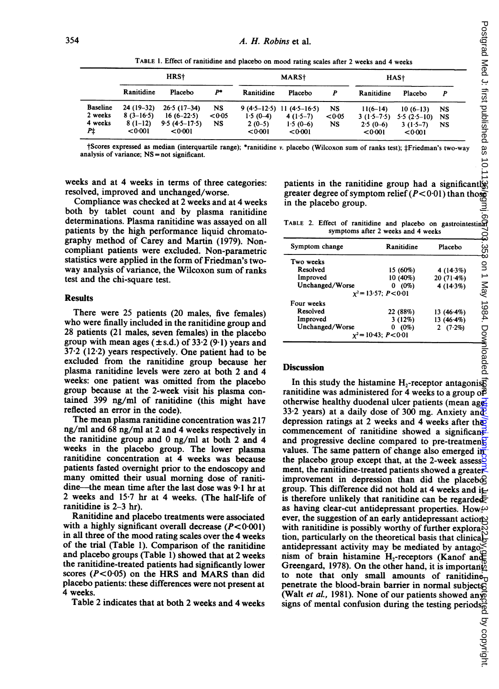$HRS\dagger$   $MARS\dagger$   $HAS\dagger$ Ranitidine Placebo P\* Ranitidine Placebo P Ranitidine Placebo P Baseline 24 (19–32) 26·5 (17–34) NS 9 (4·5–12·5) 11 (4·5–16·5) NS 11 (6–14) 10 (6–13) NS<br>2 weeks 8 (3–16·5) 16 (6–22·5) < 0·05 1·5 (0–4) 4 (1·5–7) < 0·05 3 (1·5–7·5) 5·5 (2·5–10) NS<br>4 weeks 8 (1–12) 9·5 (4·5–17·5) NS 2 (0–

TABLE 1. Effect of ranitidine and placebo on mood rating scales after <sup>2</sup> weeks and 4 weeks

t Scores expressed as median (interquartile range); \*ranitidine v. placebo (Wilcoxon sum of ranks test);  $\ddagger$ Friedman's two-way analysis of variance; NS = not significant.

weeks and at 4 weeks in terms of three categories: resolved, improved and unchanged/worse.

Compliance was checked at 2 weeks and at 4 weeks both by tablet count and by plasma ranitidine determinations. Plasma ranitidine was assayed on all patients by the high performance liquid chromatography method of Carey and Martin (1979). Noncompliant patients were excluded. Non-parametric statistics were applied in the form of Friedman's twoway analysis of variance, the Wilcoxon sum of ranks test and the chi-square test.

#### Results

There were 25 patients (20 males, five females) who were finally included in the ranitidine group and 28 patients (21 males, seven females) in the placebo group with mean ages  $(\pm s.d.)$  of 33.2 (9.1) years and 37-2 (12-2) years respectively. One patient had to be excluded from the ranitidine group because her plasma ranitidine levels were zero at both 2 and 4 weeks: one patient was omitted from the placebo group because at the 2-week visit his plasma contained 399 ng/ml of ranitidine (this might have reflected an error in the code).

The mean plasma ranitidine concentration was 217 ng/ml and 68 ng/ml at 2 and 4 weeks respectively in the ranitidine group and 0 ng/ml at both 2 and 4 weeks in the placebo group. The lower plasma ranitidine concentration at 4 weeks was because patients fasted overnight prior to the endoscopy and many omitted their usual morning dose of ranitidine-the mean time after the last dose was 9.1 hr at 2 weeks and 15-7 hr at 4 weeks. (The half-life of ranitidine is 2-3 hr).

Ranitidine and placebo treatments were associated with a highly significant overall decrease  $(P<0.001)$ in all three of the mood rating scales over the 4 weeks of the trial (Table 1). Comparison of the ranitidine and placebo groups (Table 1) showed that at  $2$  weeks the ranitidine-treated patients had significantly lower scores  $(P<0.05)$  on the HRS and MARS than did placebo patients: these differences were not present at 4 weeks.

Table 2 indicates that at both 2 weeks and 4 weeks

patients in the ranitidine group had a significantl $\aleph$ greater degree of symptom relief  $(P<0.01)$  than those in the placebo group.

TABLE 2. Effect of ranitidine and placebo on gastrointestinal symptoms after 2 weeks and 4 weeks

| Symptom change  | Ranitidine                 | Placebo      |  |
|-----------------|----------------------------|--------------|--|
| Two weeks       |                            |              |  |
|                 |                            |              |  |
| Resolved        | 15 (60%)                   | 4(14.3%)     |  |
| Improved        | 10 (40%)                   | $20(71-4%)$  |  |
| Unchanged/Worse | $(0\%)$<br>0               | 4(14.3%)     |  |
|                 | $x^2 = 13.57$ ; $P < 0.01$ |              |  |
| Four weeks      |                            |              |  |
| Resolved        | 22 (88%)                   | 13 $(46.4%)$ |  |
| Improved        | 3(12%)                     | 13(46.4%)    |  |
| Unchanged/Worse | (0%)<br>0                  | 2 $(7.2\%)$  |  |
|                 | $x^2 = 10.43$ ; $P < 0.01$ |              |  |

#### Discussion

In this study the histamine  $H_2$ -receptor antagonisting ranitidine was administered for 4 weeks to a group of  $\overline{B}$ otherwise healthy duodenal ulcer patients (mean age-33.2 years) at a daily dose of 300 mg. Anxiety and depression ratings at 2 weeks and 4 weeks after the commencement of ranitidine showed a significant and progressive decline compared to pre-treatmen<sup>t</sup> values. The same pattern of change also emerged in the placebo group except that, at the 2-week assesso ment, the ranitidine-treated patients showed a greater improvement in depression than did the placebog group. This difference did not hold at 4 weeks and it is therefore unlikely that ranitidine can be regarded as having clear-cut antidepressant properties. Howev ever, the suggestion of an early antidepressant actions with ranitidine is possibly worthy of further explora $\frac{1}{N}$ tion, particularly on the theoretical basis that clinical antidepressant activity may be mediated by antagonism of brain histamine H<sub>2</sub>-receptors (Kanof and Greengard, 1978). On the other hand, it is importantly to note that only small amounts of ranitidine penetrate the blood-brain barrier in normal subjects (Walt *et al.*, 1981). None of our patients showed any signs of mental confusion during the testing periods  $\frac{36}{9}$ signs of al.<br>
Signs of the testing period of the testing period of the testing period of the testing period of the testing period of the testing period of the testing period of the testing period of the testing period of